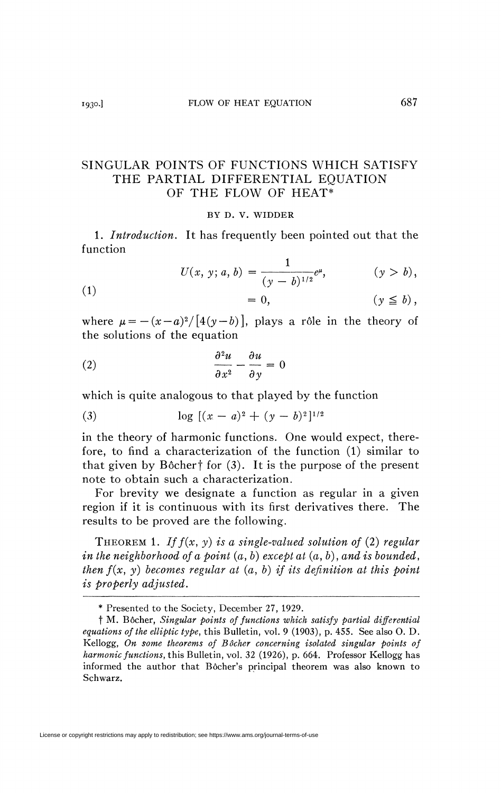## SINGULAR POINTS OF FUNCTIONS WHICH SATISFY THE PARTIAL DIFFERENTIAL EQUATION OF THE FLOW OF HEAT\*

## BY D. V. WIDDER

1. *Introduction.* It has frequently been pointed out that the function

(1)  
\n
$$
U(x, y; a, b) = \frac{1}{(y - b)^{1/2}} e^{\mu}, \qquad (y > b),
$$
\n
$$
= 0, \qquad (y \le b),
$$

where  $\mu = -(x-a)^2/[4(y-b)]$ , plays a rôle in the theory of the solutions of the equation

(2) 
$$
\frac{\partial^2 u}{\partial x^2} - \frac{\partial u}{\partial y} = 0
$$

which is quite analogous to that played by the function

(3) 
$$
\log [(x-a)^2 + (y-b)^2]^{1/2}
$$

in the theory of harmonic functions. One would expect, therefore, to find a characterization of the function (1) similar to that given by Bôcher<sup>†</sup> for  $(3)$ . It is the purpose of the present note to obtain such a characterization.

For brevity we designate a function as regular in a given region if it is continuous with its first derivatives there. The results to be proved are the following.

THEOREM 1. *Iff(x, y) is a single-valued solution of* (2) *regular in the neighborhood of a point (a, b) except at* (a, 6), *and is bounded*, *then*  $f(x, y)$  becomes regular at  $(a, b)$  if its definition at this point *is properly adjusted.* 

License or copyright restrictions may apply to redistribution; see https://www.ams.org/journal-terms-of-use

<sup>\*</sup> Presented to the Society, December 27, 1929.

t M. Bôcher, *Singular points of functions which satisfy partial differential equations of the elliptic type,* this Bulletin, vol. 9 (1903), p. 455. See also O. D. Kellogg, *On some theorems of Bôcher concerning isolated singular points of harmonic functions,* this Bulletin, vol. 32 (1926), p. 664. Professor Kellogg has informed the author that Bôcher's principal theorem was also known to Schwarz.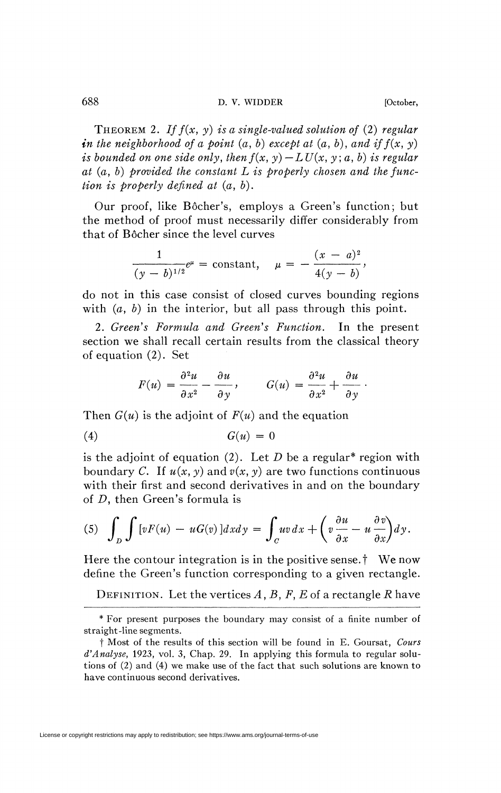THEOREM *2. Iff(x, y) is a single-valued solution of* (2) *regular*  in the neighborhood of a point  $(a, b)$  except at  $(a, b)$ , and if  $f(x, y)$ *is bounded on one side only, then*  $f(x, y) - LU(x, y; a, b)$  *is regular at (a, b) provided the constant L is properly chosen and the function is properly defined at* (a, *b).* 

Our proof, like Bôcher's, employs a Green's function; but the method of proof must necessarily differ considerably from that of Bôcher since the level curves

$$
\frac{1}{(y-b)^{1/2}}e^{\mu} = \text{constant}, \quad \mu = -\frac{(x-a)^2}{4(y-b)},
$$

do not in this case consist of closed curves bounding regions with  $(a, b)$  in the interior, but all pass through this point.

2. Green's Formula and Green's Function. In the present section we shall recall certain results from the classical theory of equation (2). Set

$$
F(u) = \frac{\partial^2 u}{\partial x^2} - \frac{\partial u}{\partial y}, \qquad G(u) = \frac{\partial^2 u}{\partial x^2} + \frac{\partial u}{\partial y}.
$$

Then *G(u)* is the adjoint of *F(u)* and the equation

$$
(4) \tG(u) = 0
$$

is the adjoint of equation (2). Let  $D$  be a regular<sup>\*</sup> region with boundary C. If  $u(x, y)$  and  $v(x, y)$  are two functions continuous with their first and second derivatives in and on the boundary of *D,* then Green's formula is

with their first and second derivatives in and on the boundary  
of *D*, then Green's formula is  
(5) 
$$
\int_{D} \int [vF(u) - uG(v)]dxdy = \int_{C} uv dx + \left(v \frac{\partial u}{\partial x} - u \frac{\partial v}{\partial x}\right)dy.
$$

Here the contour integration is in the positive sense.<sup>†</sup> We now Here the contour integration is in the positive sense, f We now define the Green's function corresponding to a given rectangle.

DEFINITION. Let the vertices  $A$  *, B , F , E* of a rectangle *R* have

<sup>\*</sup> For present purposes the boundary may consist of a finite number of straight-line segments.

t Most of the results of this section will be found in E. Goursat, *Cours d'Analyse,* 1923, vol. 3, Chap. 29. In applying this formula to regular solutions of  $(2)$  and  $(4)$  we make use of the fact that such solutions are known to have continuous second derivatives.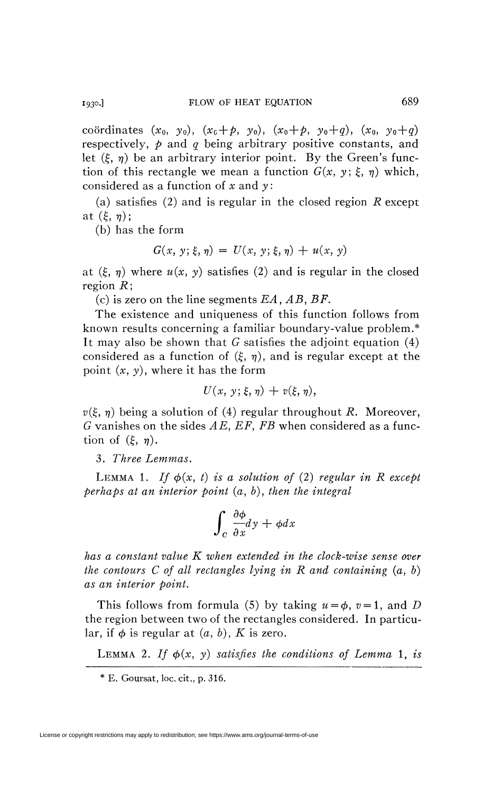coordinates  $(x_0, y_0)$ ,  $(x_0 + p, y_0)$ ,  $(x_0 + p, y_0 + q)$ ,  $(x_0, y_0 + q)$ respectively, *p* and *q* being arbitrary positive constants, and let  $(\xi, \eta)$  be an arbitrary interior point. By the Green's function of this rectangle we mean a function  $G(x, y; \xi, \eta)$  which, considered as a function of *x* and *y* :

(a) satisfies (2) and is regular in the closed region *R* except at  $(\xi, \eta)$ ;

(b) has the form

$$
G(x, y; \xi, \eta) = U(x, y; \xi, \eta) + u(x, y)
$$

at  $(\xi, \eta)$  where  $u(x, y)$  satisfies (2) and is regular in the closed region *R\* 

(c) is zero on the line segments *E A*, *AB, BF.* 

The existence and uniqueness of this function follows from known results concerning a familiar boundary-value problem.\* It may also be shown that *G* satisfies the adjoint equation (4) considered as a function of  $(\xi, \eta)$ , and is regular except at the point *(x, y),* where it has the form

$$
U(x, y; \xi, \eta) + v(\xi, \eta),
$$

 $v(\xi, \eta)$  being a solution of (4) regular throughout R. Moreover, *G* vanishes on the sides *AE, EF, FB* when considered as a function of  $(\xi, \eta)$ .

3. *Three Lemmas.* 

LEMMA 1. If  $\phi(x, t)$  is a solution of (2) regular in R except *perhaps at an interior point* (a, *b), then the integral* 

$$
\int_{c} \frac{\partial \phi}{\partial x} dy + \phi dx
$$

*has a constant value K when extended in the clock-wise sense over the contours C of all rectangles lying in R and containing* (a, *b) as an interior point.* 

This follows from formula (5) by taking  $u = \phi$ ,  $v = 1$ , and *D* the region between two of the rectangles considered. In particular, if  $\phi$  is regular at  $(a, b)$ , K is zero.

LEMMA 2. If  $\phi(x, y)$  satisfies the conditions of Lemma 1, is

<sup>\*</sup> E. Goursat, loc, cit., p. 316.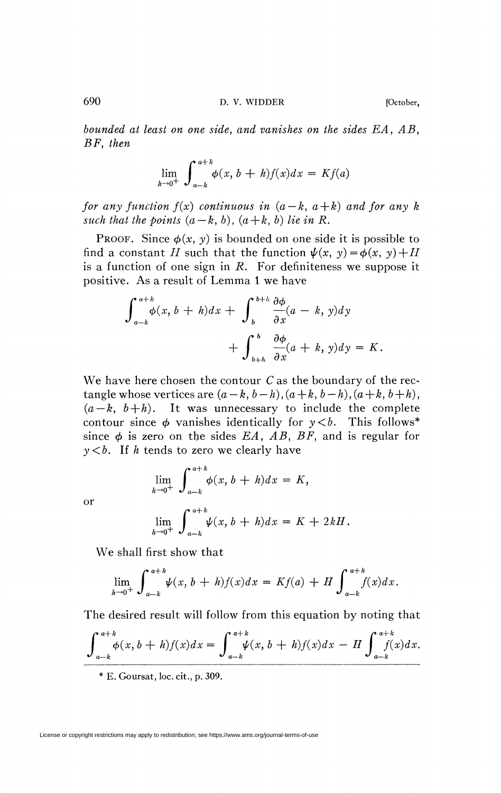*bounded at least on one side, and vanishes on the sides EA, AB, BF, then* 

$$
\lim_{h \to 0^+} \int_{a-k}^{a+k} \phi(x, b+h) f(x) dx = Kf(a)
$$

*for any function f(x) continuous in*  $(a - k, a + k)$  *and for any k such that the points*  $(a - k, b)$ ,  $(a + k, b)$  *lie in R.* 

**PROOF.** Since  $\phi(x, y)$  is bounded on one side it is possible to find a constant *H* such that the function  $\psi(x, y) = \phi(x, y) + H$ is a function of one sign in *R.* For definiteness we suppose it positive. As a result of Lemma 1 we have

$$
\int_{a-k}^{a+k} \phi(x, b+h) dx + \int_{b}^{b+k} \frac{\partial \phi}{\partial x}(a-k, y) dy + \int_{b+h}^{b} \frac{\partial \phi}{\partial x}(a+k, y) dy = K.
$$

We have here chosen the contour *C* as the boundary of the rectangle whose vertices are  $(a-k, b-h)$ ,  $(a+k, b-h)$ ,  $(a+k, b+h)$ ,  $(a-k, b+h)$ . It was unnecessary to include the complete contour since  $\phi$  vanishes identically for  $y < b$ . This follows<sup>\*</sup> since  $\phi$  is zero on the sides *EA*, *AB*, *BF*, and is regular for *y<b. It h* tends to zero we clearly have

$$
\lim_{h \to 0^+} \int_{a-k}^{a+k} \phi(x, b+h) dx = K,
$$
  

$$
\lim_{h \to 0^+} \int_{a-k}^{a+k} \psi(x, b+h) dx = K + 2kH.
$$

or

We shall first show that

$$
\lim_{h \to 0^+} \int_{a-k}^{a+k} \psi(x, b+h) f(x) dx = Kf(a) + H \int_{a-k}^{a+k} f(x) dx.
$$

The desired result will follow from this equation by noting that

$$
\int_{a-k}^{a+k} \phi(x, b+h) f(x) dx = \int_{a-k}^{a+k} \psi(x, b+h) f(x) dx - H \int_{a-k}^{a+k} f(x) dx.
$$

*a—k J a-k ^ a-k* \* E. Goursat, loc. cit., p. 309.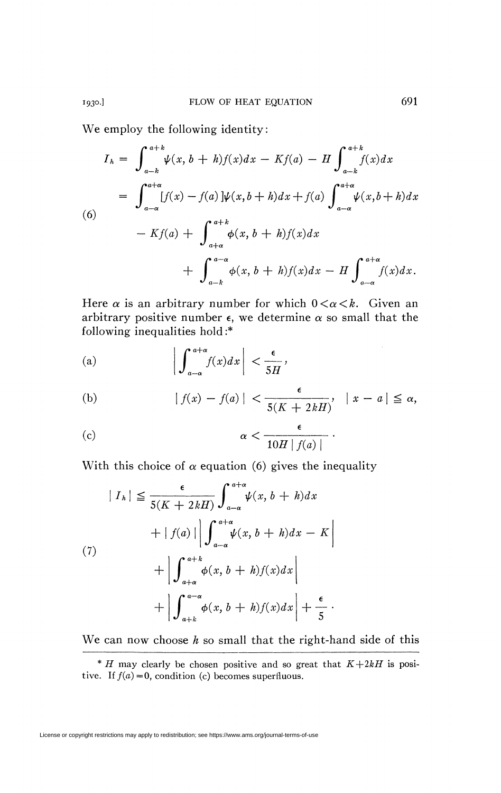We employ the following identity:

$$
I_{h} = \int_{a-k}^{a+k} \psi(x, b+h)f(x)dx - Kf(a) - H \int_{a-k}^{a+k} f(x)dx
$$
  
\n
$$
= \int_{a-a}^{a+a} [f(x) - f(a)]\psi(x, b+h)dx + f(a) \int_{a-a}^{a+a} \psi(x, b+h)dx
$$
  
\n(6)  
\n
$$
- Kf(a) + \int_{a+a}^{a+k} \phi(x, b+h)f(x)dx + \int_{a-a}^{a+a} f(x)dx
$$
  
\n
$$
+ \int_{a-k}^{a-a} \phi(x, b+h)f(x)dx - H \int_{a-a}^{a+a} f(x)dx.
$$
  
\nHere  $\alpha$  is an arbitrary number for which  $0 < \alpha < k$ . Given an

arbitrary positive number  $\epsilon$ , we determine  $\alpha$  so small that the following inequalities hold:\* arbitrary positive number e, we determine *a* so small that the

(a) 
$$
\left| \int_{a-a}^{a+\alpha} f(x) dx \right| < \frac{\epsilon}{5H},
$$

(b) 
$$
|f(x) - f(a)| < \frac{\epsilon}{5(K + 2kH)}, \quad |x - a| \le \alpha,
$$

(c) 
$$
\alpha < \frac{\epsilon}{10H |f(a)|}.
$$

With this choice of  $\alpha$  equation (6) gives the inequality

$$
|I_{h}| \leq \frac{\epsilon}{5(K+2kH)} \int_{a-\alpha}^{a+\alpha} \psi(x, b+h) dx
$$
  
+  $|f(a)| \left| \int_{a-\alpha}^{a+\alpha} \psi(x, b+h) dx - K \right|$   
+  $\left| \int_{a+\alpha}^{a+k} \phi(x, b+h) f(x) dx \right|$   
+  $\left| \int_{a+k}^{a-\alpha} \phi(x, b+h) f(x) dx \right| + \frac{\epsilon}{5}.$ 

We can now choose *h* so small that the right-hand side of this

<sup>\*</sup> *H* may clearly be chosen positive and so great that  $K+2kH$  is positive. If  $f(a) = 0$ , condition (c) becomes superfluous.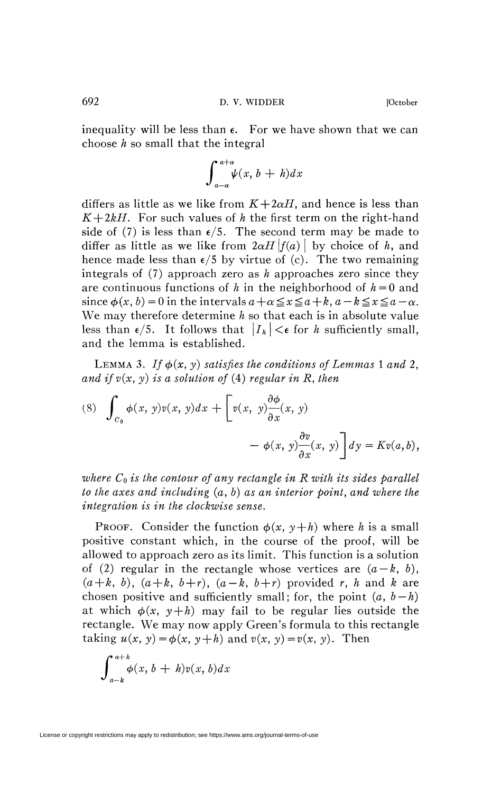692 D. V. WIDDER [October]

inequality will be less than  $\epsilon$ . For we have shown that we can choose *h* so small that the integral

$$
\int_{a-a}^{a+a} \psi(x, b+h) dx
$$

differs as little as we like from  $K+2\alpha H$ , and hence is less than  $K+2kH$ . For such values of h the first term on the right-hand side of (7) is less than  $\epsilon/5$ . The second term may be made to differ as little as we like from  $2\alpha H \left|f(a)\right|$  by choice of *h*, and hence made less than  $\epsilon/5$  by virtue of (c). The two remaining integrals of (7) approach zero as *h* approaches zero since they are continuous functions of h in the neighborhood of  $h = 0$  and since  $\phi(x, b) = 0$  in the intervals  $a + \alpha \leq x \leq a + k$ ,  $a - k \leq x \leq a - \alpha$ . We may therefore determine *h* so that each is in absolute value less than  $\epsilon/5$ . It follows that  $|I_h| < \epsilon$  for h sufficiently small, and the lemma is established.

LEMMA 3. If  $\phi(x, y)$  satisfies the conditions of Lemmas 1 and 2, and if  $v(x, y)$  is a solution of (4) regular in R, then

(8) 
$$
\int_{C_0} \phi(x, y)v(x, y)dx + \left[v(x, y)\frac{\partial \phi}{\partial x}(x, y) - \phi(x, y)\frac{\partial v}{\partial x}(x, y)\right]dy = Kv(a, b),
$$

*where Co is the contour of any rectangle in R with its sides parallel to the axes and including (a, b) as an interior point, and where the integration is in the clockwise sense.* 

PROOF. Consider the function  $\phi(x, y+h)$  where *h* is a small positive constant which, in the course of the proof, will be allowed to approach zero as its limit. This function is a solution of (2) regular in the rectangle whose vertices are  $(a-k, b)$ ,  $(a+k, b)$ ,  $(a+k, b+r)$ ,  $(a-k, b+r)$  provided *r*, *h* and *k* are chosen positive and sufficiently small; for, the point  $(a, b-h)$ at which  $\phi(x, y+h)$  may fail to be regular lies outside the rectangle. We may now apply Green's formula to this rectangle taking  $u(x, y) = \phi(x, y + h)$  and  $v(x, y) = v(x, y)$ . Then

$$
\int_{a-k}^{a+k} \phi(x, b + h) v(x, b) dx
$$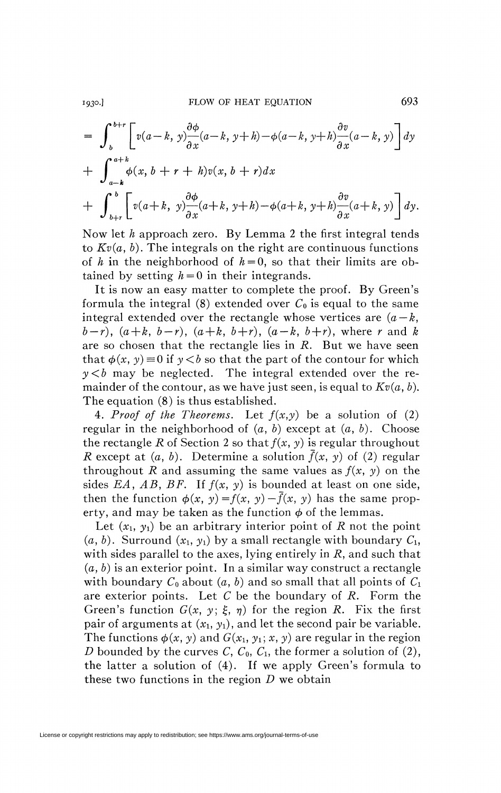1930.] FLOW OF HEAT EQUATION 693

$$
= \int_{b}^{b+r} \left[ v(a-k, y) \frac{\partial \phi}{\partial x} (a-k, y+h) - \phi(a-k, y+h) \frac{\partial v}{\partial x} (a-k, y) \right] dy
$$
  
+ 
$$
\int_{a-k}^{a+k} \phi(x, b+r+h) v(x, b+r) dx
$$
  
+ 
$$
\int_{b+r}^{b} \left[ v(a+k, y) \frac{\partial \phi}{\partial x} (a+k, y+h) - \phi(a+k, y+h) \frac{\partial v}{\partial x} (a+k, y) \right] dy.
$$

Now let *h* approach zero. By Lemma 2 the first integral tends to  $Kv(a, b)$ . The integrals on the right are continuous functions of *h* in the neighborhood of  $h = 0$ , so that their limits are obtained by setting  $h = 0$  in their integrands.

It is now an easy matter to complete the proof. By Green's formula the integral (8) extended over  $C_0$  is equal to the same integral extended over the rectangle whose vertices are  $(a - k, a)$  $(b - r)$ ,  $(a + k, b - r)$ ,  $(a + k, b + r)$ ,  $(a - k, b + r)$ , where *r* and *k* are so chosen that the rectangle lies in *R.* But we have seen that  $\phi(x, y) \equiv 0$  if  $y < b$  so that the part of the contour for which  $y < b$  may be neglected. The integral extended over the remainder of the contour, as we have just seen, is equal to  $Kv(a, b)$ . The equation (8) is thus established.

4. *Proof of the Theorems.* Let *f(x,y)* be a solution of (2) regular in the neighborhood of *(a, b)* except at *(a, b).* Choose the rectangle R of Section 2 so that  $f(x, y)$  is regular throughout *R* except at  $(a, b)$ . Determine a solution  $\bar{f}(x, y)$  of (2) regular throughout R and assuming the same values as  $f(x, y)$  on the sides *EA, AB, BF.* If *f(x, y)* is bounded at least on one side, then the function  $\phi(x, y) = f(x, y) - \overline{f}(x, y)$  has the same property, and may be taken as the function  $\phi$  of the lemmas.

Let  $(x_1, y_1)$  be an arbitrary interior point of *R* not the point  $(a, b)$ . Surround  $(x_1, y_1)$  by a small rectangle with boundary  $C_1$ , with sides parallel to the axes, lying entirely in *R,* and such that *(a, b)* is an exterior point. In a similar way construct a rectangle with boundary  $C_0$  about  $(a, b)$  and so small that all points of  $C_1$ are exterior points. Let C be the boundary of *R.* Form the Green's function  $G(x, y; \xi, \eta)$  for the region R. Fix the first pair of arguments at  $(x_1, y_1)$ , and let the second pair be variable. The functions  $\phi(x, y)$  and  $G(x_1, y_1; x, y)$  are regular in the region *D* bounded by the curves  $C$ ,  $C_0$ ,  $C_1$ , the former a solution of (2), the latter a solution of (4). If we apply Green's formula to these two functions in the region *D* we obtain